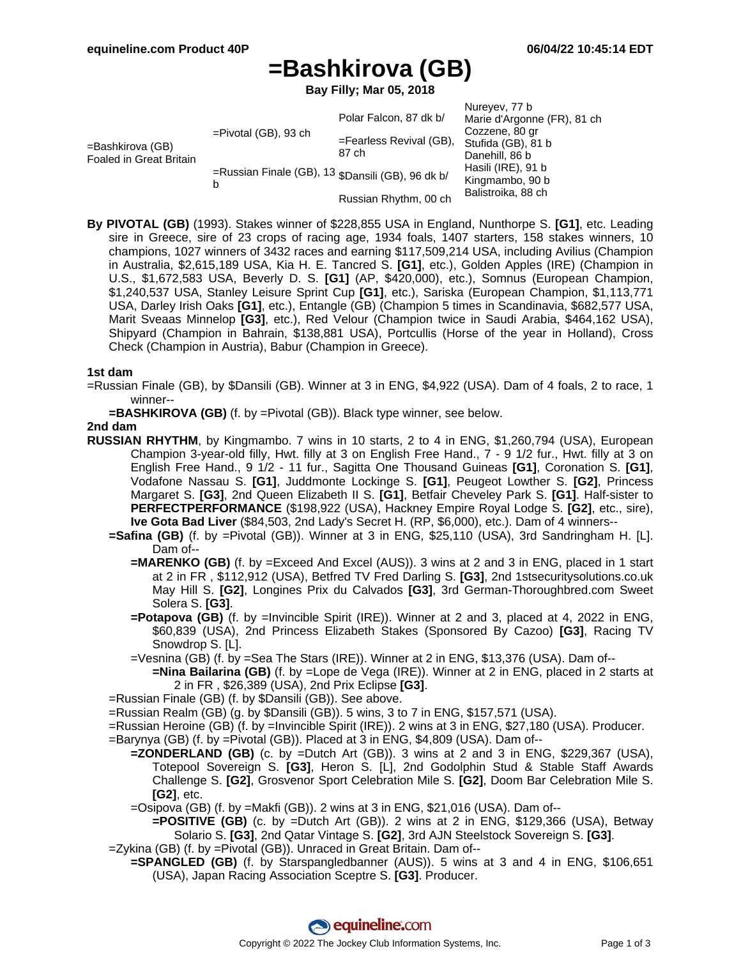# **=Bashkirova (GB)**

**Bay Filly; Mar 05, 2018**

|                                             |                                                                                   |                         | Nureyev, 77 b               |
|---------------------------------------------|-----------------------------------------------------------------------------------|-------------------------|-----------------------------|
| =Bashkirova (GB)<br>Foaled in Great Britain | $=$ Pivotal (GB), 93 ch<br>=Russian Finale (GB), 13 \$Dansili (GB), 96 dk b/<br>b | Polar Falcon, 87 dk b/  | Marie d'Argonne (FR), 81 ch |
|                                             |                                                                                   |                         | Cozzene, 80 gr              |
|                                             |                                                                                   | =Fearless Revival (GB), | Stufida (GB), 81 b          |
|                                             |                                                                                   | 87 ch                   | Danehill, 86 b              |
|                                             |                                                                                   |                         | Hasili (IRE), 91 b          |
|                                             |                                                                                   |                         | Kingmambo, 90 b             |
|                                             |                                                                                   | Russian Rhythm, 00 ch   | Balistroika, 88 ch          |

**By PIVOTAL (GB)** (1993). Stakes winner of \$228,855 USA in England, Nunthorpe S. **[G1]**, etc. Leading sire in Greece, sire of 23 crops of racing age, 1934 foals, 1407 starters, 158 stakes winners, 10 champions, 1027 winners of 3432 races and earning \$117,509,214 USA, including Avilius (Champion in Australia, \$2,615,189 USA, Kia H. E. Tancred S. **[G1]**, etc.), Golden Apples (IRE) (Champion in U.S., \$1,672,583 USA, Beverly D. S. **[G1]** (AP, \$420,000), etc.), Somnus (European Champion, \$1,240,537 USA, Stanley Leisure Sprint Cup **[G1]**, etc.), Sariska (European Champion, \$1,113,771 USA, Darley Irish Oaks **[G1]**, etc.), Entangle (GB) (Champion 5 times in Scandinavia, \$682,577 USA, Marit Sveaas Minnelop **[G3]**, etc.), Red Velour (Champion twice in Saudi Arabia, \$464,162 USA), Shipyard (Champion in Bahrain, \$138,881 USA), Portcullis (Horse of the year in Holland), Cross Check (Champion in Austria), Babur (Champion in Greece).

### **1st dam**

=Russian Finale (GB), by \$Dansili (GB). Winner at 3 in ENG, \$4,922 (USA). Dam of 4 foals, 2 to race, 1 winner--

**=BASHKIROVA (GB)** (f. by =Pivotal (GB)). Black type winner, see below.

### **2nd dam**

- **RUSSIAN RHYTHM**, by Kingmambo. 7 wins in 10 starts, 2 to 4 in ENG, \$1,260,794 (USA), European Champion 3-year-old filly, Hwt. filly at 3 on English Free Hand., 7 - 9 1/2 fur., Hwt. filly at 3 on English Free Hand., 9 1/2 - 11 fur., Sagitta One Thousand Guineas **[G1]**, Coronation S. **[G1]**, Vodafone Nassau S. **[G1]**, Juddmonte Lockinge S. **[G1]**, Peugeot Lowther S. **[G2]**, Princess Margaret S. **[G3]**, 2nd Queen Elizabeth II S. **[G1]**, Betfair Cheveley Park S. **[G1]**. Half-sister to **PERFECTPERFORMANCE** (\$198,922 (USA), Hackney Empire Royal Lodge S. **[G2]**, etc., sire), **Ive Gota Bad Liver** (\$84,503, 2nd Lady's Secret H. (RP, \$6,000), etc.). Dam of 4 winners--
	- **=Safina (GB)** (f. by =Pivotal (GB)). Winner at 3 in ENG, \$25,110 (USA), 3rd Sandringham H. [L]. Dam of--
		- **=MARENKO (GB)** (f. by =Exceed And Excel (AUS)). 3 wins at 2 and 3 in ENG, placed in 1 start at 2 in FR , \$112,912 (USA), Betfred TV Fred Darling S. **[G3]**, 2nd 1stsecuritysolutions.co.uk May Hill S. **[G2]**, Longines Prix du Calvados **[G3]**, 3rd German-Thoroughbred.com Sweet Solera S. **[G3]**.
		- **=Potapova (GB)** (f. by =Invincible Spirit (IRE)). Winner at 2 and 3, placed at 4, 2022 in ENG, \$60,839 (USA), 2nd Princess Elizabeth Stakes (Sponsored By Cazoo) **[G3]**, Racing TV Snowdrop S. [L].
		- =Vesnina (GB) (f. by =Sea The Stars (IRE)). Winner at 2 in ENG, \$13,376 (USA). Dam of--
		- **=Nina Bailarina (GB)** (f. by =Lope de Vega (IRE)). Winner at 2 in ENG, placed in 2 starts at 2 in FR , \$26,389 (USA), 2nd Prix Eclipse **[G3]**.
	- =Russian Finale (GB) (f. by \$Dansili (GB)). See above.
	- =Russian Realm (GB) (g. by \$Dansili (GB)). 5 wins, 3 to 7 in ENG, \$157,571 (USA).
	- =Russian Heroine (GB) (f. by =Invincible Spirit (IRE)). 2 wins at 3 in ENG, \$27,180 (USA). Producer.
	- =Barynya (GB) (f. by =Pivotal (GB)). Placed at 3 in ENG, \$4,809 (USA). Dam of--
		- **=ZONDERLAND (GB)** (c. by =Dutch Art (GB)). 3 wins at 2 and 3 in ENG, \$229,367 (USA), Totepool Sovereign S. **[G3]**, Heron S. [L], 2nd Godolphin Stud & Stable Staff Awards Challenge S. **[G2]**, Grosvenor Sport Celebration Mile S. **[G2]**, Doom Bar Celebration Mile S. **[G2]**, etc.
		- =Osipova (GB) (f. by =Makfi (GB)). 2 wins at 3 in ENG, \$21,016 (USA). Dam of--
	- **=POSITIVE (GB)** (c. by =Dutch Art (GB)). 2 wins at 2 in ENG, \$129,366 (USA), Betway Solario S. **[G3]**, 2nd Qatar Vintage S. **[G2]**, 3rd AJN Steelstock Sovereign S. **[G3]**. =Zykina (GB) (f. by =Pivotal (GB)). Unraced in Great Britain. Dam of--
	- **=SPANGLED (GB)** (f. by Starspangledbanner (AUS)). 5 wins at 3 and 4 in ENG, \$106,651 (USA), Japan Racing Association Sceptre S. **[G3]**. Producer.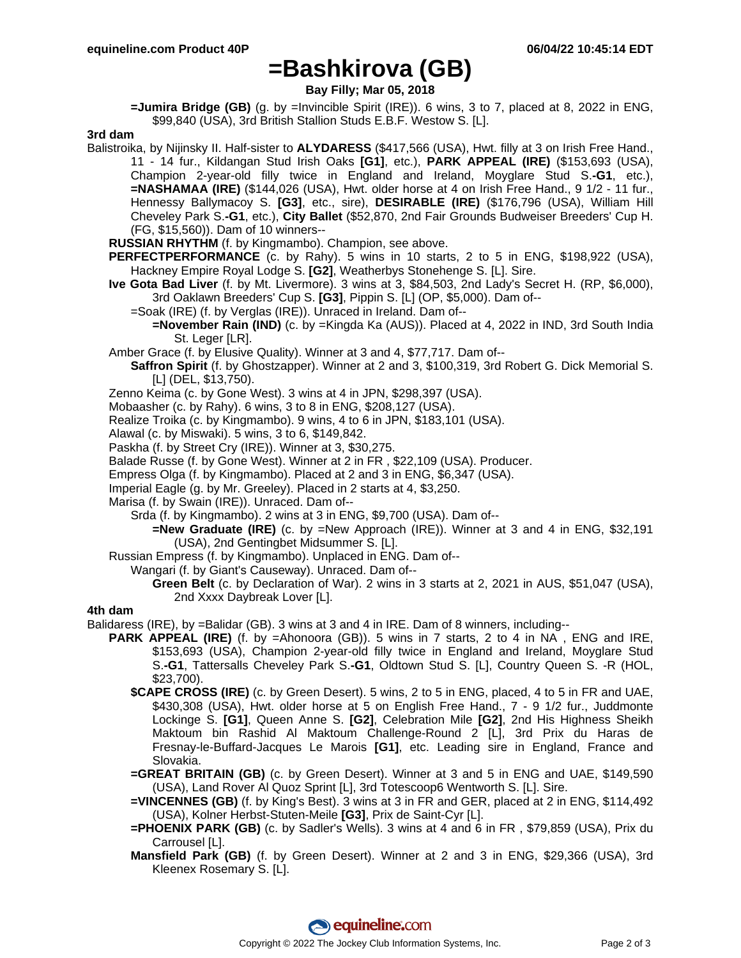## **=Bashkirova (GB)**

**Bay Filly; Mar 05, 2018**

**=Jumira Bridge (GB)** (g. by =Invincible Spirit (IRE)). 6 wins, 3 to 7, placed at 8, 2022 in ENG, \$99,840 (USA), 3rd British Stallion Studs E.B.F. Westow S. [L].

### **3rd dam**

- Balistroika, by Nijinsky II. Half-sister to **ALYDARESS** (\$417,566 (USA), Hwt. filly at 3 on Irish Free Hand., 11 - 14 fur., Kildangan Stud Irish Oaks **[G1]**, etc.), **PARK APPEAL (IRE)** (\$153,693 (USA), Champion 2-year-old filly twice in England and Ireland, Moyglare Stud S.**-G1**, etc.), **=NASHAMAA (IRE)** (\$144,026 (USA), Hwt. older horse at 4 on Irish Free Hand., 9 1/2 - 11 fur., Hennessy Ballymacoy S. **[G3]**, etc., sire), **DESIRABLE (IRE)** (\$176,796 (USA), William Hill Cheveley Park S.**-G1**, etc.), **City Ballet** (\$52,870, 2nd Fair Grounds Budweiser Breeders' Cup H. (FG, \$15,560)). Dam of 10 winners--
	- **RUSSIAN RHYTHM** (f. by Kingmambo). Champion, see above.
	- **PERFECTPERFORMANCE** (c. by Rahy). 5 wins in 10 starts, 2 to 5 in ENG, \$198,922 (USA), Hackney Empire Royal Lodge S. **[G2]**, Weatherbys Stonehenge S. [L]. Sire.
	- **Ive Gota Bad Liver** (f. by Mt. Livermore). 3 wins at 3, \$84,503, 2nd Lady's Secret H. (RP, \$6,000), 3rd Oaklawn Breeders' Cup S. **[G3]**, Pippin S. [L] (OP, \$5,000). Dam of--
		- =Soak (IRE) (f. by Verglas (IRE)). Unraced in Ireland. Dam of--
			- **=November Rain (IND)** (c. by =Kingda Ka (AUS)). Placed at 4, 2022 in IND, 3rd South India St. Leger [LR].
	- Amber Grace (f. by Elusive Quality). Winner at 3 and 4, \$77,717. Dam of--
	- **Saffron Spirit** (f. by Ghostzapper). Winner at 2 and 3, \$100,319, 3rd Robert G. Dick Memorial S. [L] (DEL, \$13,750).
	- Zenno Keima (c. by Gone West). 3 wins at 4 in JPN, \$298,397 (USA).
	- Mobaasher (c. by Rahy). 6 wins, 3 to 8 in ENG, \$208,127 (USA).
	- Realize Troika (c. by Kingmambo). 9 wins, 4 to 6 in JPN, \$183,101 (USA).
	- Alawal (c. by Miswaki). 5 wins, 3 to 6, \$149,842.
	- Paskha (f. by Street Cry (IRE)). Winner at 3, \$30,275.
	- Balade Russe (f. by Gone West). Winner at 2 in FR , \$22,109 (USA). Producer.
	- Empress Olga (f. by Kingmambo). Placed at 2 and 3 in ENG, \$6,347 (USA).
	- Imperial Eagle (g. by Mr. Greeley). Placed in 2 starts at 4, \$3,250.
	- Marisa (f. by Swain (IRE)). Unraced. Dam of--
		- Srda (f. by Kingmambo). 2 wins at 3 in ENG, \$9,700 (USA). Dam of--
			- **=New Graduate (IRE)** (c. by =New Approach (IRE)). Winner at 3 and 4 in ENG, \$32,191 (USA), 2nd Gentingbet Midsummer S. [L].
	- Russian Empress (f. by Kingmambo). Unplaced in ENG. Dam of--
		- Wangari (f. by Giant's Causeway). Unraced. Dam of--
			- **Green Belt** (c. by Declaration of War). 2 wins in 3 starts at 2, 2021 in AUS, \$51,047 (USA), 2nd Xxxx Daybreak Lover [L].

#### **4th dam**

- Balidaress (IRE), by =Balidar (GB). 3 wins at 3 and 4 in IRE. Dam of 8 winners, including--
	- **PARK APPEAL (IRE)** (f. by =Ahonoora (GB)). 5 wins in 7 starts, 2 to 4 in NA, ENG and IRE, \$153,693 (USA), Champion 2-year-old filly twice in England and Ireland, Moyglare Stud S.**-G1**, Tattersalls Cheveley Park S.**-G1**, Oldtown Stud S. [L], Country Queen S. -R (HOL, \$23,700).
		- **\$CAPE CROSS (IRE)** (c. by Green Desert). 5 wins, 2 to 5 in ENG, placed, 4 to 5 in FR and UAE, \$430,308 (USA), Hwt. older horse at 5 on English Free Hand., 7 - 9 1/2 fur., Juddmonte Lockinge S. **[G1]**, Queen Anne S. **[G2]**, Celebration Mile **[G2]**, 2nd His Highness Sheikh Maktoum bin Rashid Al Maktoum Challenge-Round 2 [L], 3rd Prix du Haras de Fresnay-le-Buffard-Jacques Le Marois **[G1]**, etc. Leading sire in England, France and Slovakia.
		- **=GREAT BRITAIN (GB)** (c. by Green Desert). Winner at 3 and 5 in ENG and UAE, \$149,590 (USA), Land Rover Al Quoz Sprint [L], 3rd Totescoop6 Wentworth S. [L]. Sire.
		- **=VINCENNES (GB)** (f. by King's Best). 3 wins at 3 in FR and GER, placed at 2 in ENG, \$114,492 (USA), Kolner Herbst-Stuten-Meile **[G3]**, Prix de Saint-Cyr [L].
		- **=PHOENIX PARK (GB)** (c. by Sadler's Wells). 3 wins at 4 and 6 in FR , \$79,859 (USA), Prix du Carrousel [L].
		- **Mansfield Park (GB)** (f. by Green Desert). Winner at 2 and 3 in ENG, \$29,366 (USA), 3rd Kleenex Rosemary S. [L].